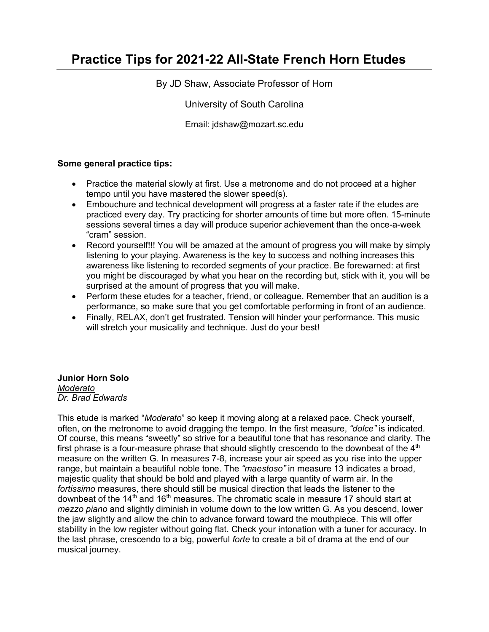# **Practice Tips for 2021-22 All-State French Horn Etudes**

By JD Shaw, Associate Professor of Horn

University of South Carolina

Email: jdshaw@mozart.sc.edu

### **Some general practice tips:**

- Practice the material slowly at first. Use a metronome and do not proceed at a higher tempo until you have mastered the slower speed(s).
- Embouchure and technical development will progress at a faster rate if the etudes are practiced every day. Try practicing for shorter amounts of time but more often. 15-minute sessions several times a day will produce superior achievement than the once-a-week "cram" session.
- Record yourself!!! You will be amazed at the amount of progress you will make by simply listening to your playing. Awareness is the key to success and nothing increases this awareness like listening to recorded segments of your practice. Be forewarned: at first you might be discouraged by what you hear on the recording but, stick with it, you will be surprised at the amount of progress that you will make.
- Perform these etudes for a teacher, friend, or colleague. Remember that an audition is a performance, so make sure that you get comfortable performing in front of an audience.
- Finally, RELAX, don't get frustrated. Tension will hinder your performance. This music will stretch your musicality and technique. Just do your best!

## **Junior Horn Solo**

*Moderato Dr. Brad Edwards*

This etude is marked "*Moderato*" so keep it moving along at a relaxed pace. Check yourself, often, on the metronome to avoid dragging the tempo. In the first measure, *"dolce"* is indicated. Of course, this means "sweetly" so strive for a beautiful tone that has resonance and clarity. The first phrase is a four-measure phrase that should slightly crescendo to the downbeat of the  $4<sup>th</sup>$ measure on the written G. In measures 7-8, increase your air speed as you rise into the upper range, but maintain a beautiful noble tone. The *"maestoso"* in measure 13 indicates a broad, majestic quality that should be bold and played with a large quantity of warm air. In the *fortissimo* measures, there should still be musical direction that leads the listener to the downbeat of the  $14<sup>th</sup>$  and  $16<sup>th</sup>$  measures. The chromatic scale in measure 17 should start at *mezzo piano* and slightly diminish in volume down to the low written G. As you descend, lower the jaw slightly and allow the chin to advance forward toward the mouthpiece. This will offer stability in the low register without going flat. Check your intonation with a tuner for accuracy. In the last phrase, crescendo to a big, powerful *forte* to create a bit of drama at the end of our musical journey.